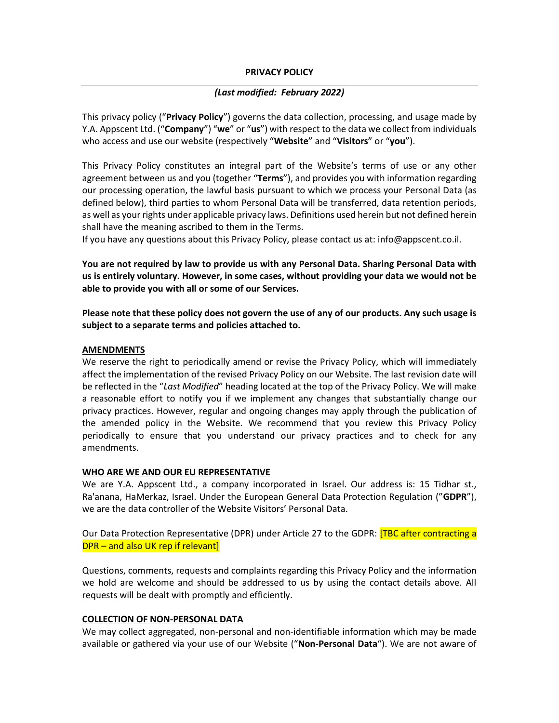#### **PRIVACY POLICY**

#### *(Last modified: February 2022)*

This privacy policy ("**Privacy Policy**") governs the data collection, processing, and usage made by Y.A. Appscent Ltd. ("**Company**") "**we**" or "**us**") with respect to the data we collect from individuals who access and use our website (respectively "**Website**" and "**Visitors**" or "**you**").

This Privacy Policy constitutes an integral part of the Website's terms of use or any other agreement between us and you (together "**Terms**"), and provides you with information regarding our processing operation, the lawful basis pursuant to which we process your Personal Data (as defined below), third parties to whom Personal Data will be transferred, data retention periods, as well as your rights under applicable privacy laws. Definitions used herein but not defined herein shall have the meaning ascribed to them in the Terms.

If you have any questions about this Privacy Policy, please contact us at: info@appscent.co.il.

**You are not required by law to provide us with any Personal Data. Sharing Personal Data with us is entirely voluntary. However, in some cases, without providing your data we would not be able to provide you with all or some of our Services.** 

**Please note that these policy does not govern the use of any of our products. Any such usage is subject to a separate terms and policies attached to.** 

#### **AMENDMENTS**

We reserve the right to periodically amend or revise the Privacy Policy, which will immediately affect the implementation of the revised Privacy Policy on our Website. The last revision date will be reflected in the "*Last Modified*" heading located at the top of the Privacy Policy. We will make a reasonable effort to notify you if we implement any changes that substantially change our privacy practices. However, regular and ongoing changes may apply through the publication of the amended policy in the Website. We recommend that you review this Privacy Policy periodically to ensure that you understand our privacy practices and to check for any amendments.

#### **WHO ARE WE AND OUR EU REPRESENTATIVE**

We are Y.A. Appscent Ltd., a company incorporated in Israel. Our address is: 15 Tidhar st., Ra'anana, HaMerkaz, Israel. Under the European General Data Protection Regulation ("**GDPR**"), we are the data controller of the Website Visitors' Personal Data.

Our Data Protection Representative (DPR) under Article 27 to the GDPR: **[TBC after contracting a** DPR – and also UK rep if relevant]

Questions, comments, requests and complaints regarding this Privacy Policy and the information we hold are welcome and should be addressed to us by using the contact details above. All requests will be dealt with promptly and efficiently.

#### **COLLECTION OF NON-PERSONAL DATA**

We may collect aggregated, non-personal and non-identifiable information which may be made available or gathered via your use of our Website ("**Non-Personal Data**"). We are not aware of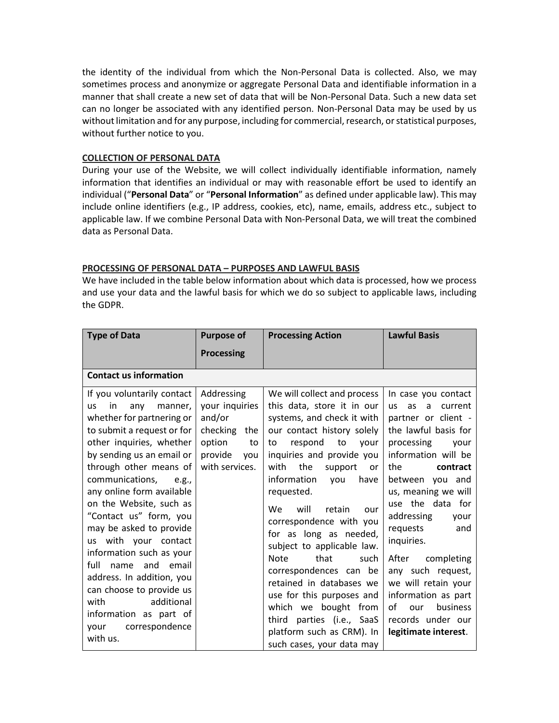the identity of the individual from which the Non-Personal Data is collected. Also, we may sometimes process and anonymize or aggregate Personal Data and identifiable information in a manner that shall create a new set of data that will be Non-Personal Data. Such a new data set can no longer be associated with any identified person. Non-Personal Data may be used by us without limitation and for any purpose, including for commercial, research, or statistical purposes, without further notice to you.

## **COLLECTION OF PERSONAL DATA**

During your use of the Website, we will collect individually identifiable information, namely information that identifies an individual or may with reasonable effort be used to identify an individual ("**Personal Data**" or "**Personal Information**" as defined under applicable law). This may include online identifiers (e.g., IP address, cookies, etc), name, emails, address etc., subject to applicable law. If we combine Personal Data with Non-Personal Data, we will treat the combined data as Personal Data.

#### **PROCESSING OF PERSONAL DATA – PURPOSES AND LAWFUL BASIS**

We have included in the table below information about which data is processed, how we process and use your data and the lawful basis for which we do so subject to applicable laws, including the GDPR.

| <b>Type of Data</b>                                                                                                                                                                                                                                                                                                                                                                                                                                                                                                                                                                    | <b>Purpose of</b>                                                                                             | <b>Processing Action</b>                                                                                                                                                                                                                                                                                                                                                                                                                                                                                                                                                                                                       | <b>Lawful Basis</b>                                                                                                                                                                                                                                                                                                                                                                                                                                        |
|----------------------------------------------------------------------------------------------------------------------------------------------------------------------------------------------------------------------------------------------------------------------------------------------------------------------------------------------------------------------------------------------------------------------------------------------------------------------------------------------------------------------------------------------------------------------------------------|---------------------------------------------------------------------------------------------------------------|--------------------------------------------------------------------------------------------------------------------------------------------------------------------------------------------------------------------------------------------------------------------------------------------------------------------------------------------------------------------------------------------------------------------------------------------------------------------------------------------------------------------------------------------------------------------------------------------------------------------------------|------------------------------------------------------------------------------------------------------------------------------------------------------------------------------------------------------------------------------------------------------------------------------------------------------------------------------------------------------------------------------------------------------------------------------------------------------------|
|                                                                                                                                                                                                                                                                                                                                                                                                                                                                                                                                                                                        | <b>Processing</b>                                                                                             |                                                                                                                                                                                                                                                                                                                                                                                                                                                                                                                                                                                                                                |                                                                                                                                                                                                                                                                                                                                                                                                                                                            |
| <b>Contact us information</b>                                                                                                                                                                                                                                                                                                                                                                                                                                                                                                                                                          |                                                                                                               |                                                                                                                                                                                                                                                                                                                                                                                                                                                                                                                                                                                                                                |                                                                                                                                                                                                                                                                                                                                                                                                                                                            |
| If you voluntarily contact<br>in<br>any<br>manner,<br><b>us</b><br>whether for partnering or<br>to submit a request or for<br>other inquiries, whether<br>by sending us an email or<br>through other means of<br>communications,<br>e.g.,<br>any online form available<br>on the Website, such as<br>"Contact us" form, you<br>may be asked to provide<br>us with your contact<br>information such as your<br>full<br>and email<br>name<br>address. In addition, you<br>can choose to provide us<br>additional<br>with<br>information as part of<br>correspondence<br>your<br>with us. | Addressing<br>your inquiries<br>and/or<br>checking<br>the<br>option<br>to<br>provide<br>you<br>with services. | We will collect and process<br>this data, store it in our<br>systems, and check it with<br>our contact history solely<br>respond<br>to<br>to<br>vour<br>inquiries and provide you<br>the<br>with<br>support<br><b>or</b><br>information<br>you<br>have<br>requested.<br>will<br>retain<br><b>We</b><br>our<br>correspondence with you<br>for as long as needed,<br>subject to applicable law.<br><b>Note</b><br>that<br>such<br>correspondences can be<br>retained in databases we<br>use for this purposes and<br>which we bought from<br>third parties (i.e., SaaS<br>platform such as CRM). In<br>such cases, your data may | In case you contact<br><b>us</b><br>as<br>current<br>a<br>partner or client -<br>the lawful basis for<br>processing<br>your<br>information will be<br>the<br>contract<br>between you and<br>us, meaning we will<br>use the data for<br>addressing<br>your<br>requests<br>and<br>inquiries.<br>After<br>completing<br>any such request,<br>we will retain your<br>information as part<br>of<br>business<br>our<br>records under our<br>legitimate interest. |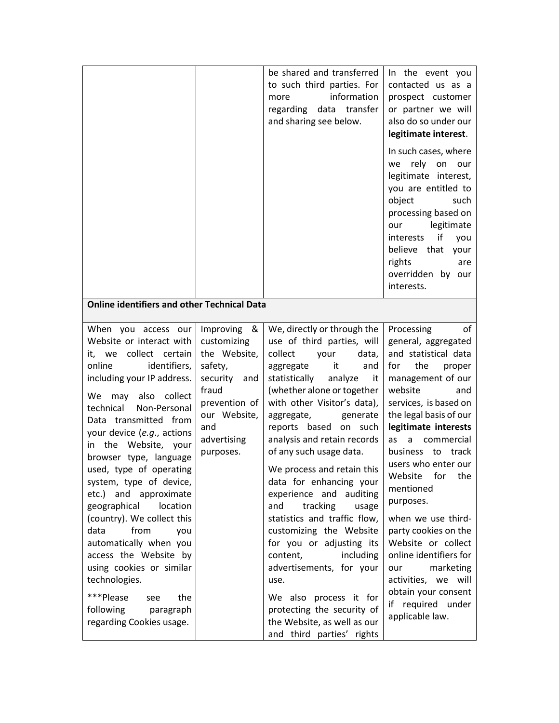|                                                                                                                                                                                                                                                                                                                                                                                                                                                                                                                                                                                                                                                       |                                                                                                                                                       | be shared and transferred<br>to such third parties. For<br>information<br>more<br>regarding data transfer<br>and sharing see below.                                                                                                                                                                                                                                                                                                                                                                                                                                                                                                                                                                              | In the event you<br>contacted us as a<br>prospect customer<br>or partner we will<br>also do so under our<br>legitimate interest.<br>In such cases, where<br>rely on<br>our<br>we<br>legitimate interest,<br>you are entitled to<br>object<br>such<br>processing based on<br>legitimate<br>our<br>if<br>interests<br>you<br>believe that your<br>rights<br>are<br>overridden by our<br>interests.                                                                                                                                       |
|-------------------------------------------------------------------------------------------------------------------------------------------------------------------------------------------------------------------------------------------------------------------------------------------------------------------------------------------------------------------------------------------------------------------------------------------------------------------------------------------------------------------------------------------------------------------------------------------------------------------------------------------------------|-------------------------------------------------------------------------------------------------------------------------------------------------------|------------------------------------------------------------------------------------------------------------------------------------------------------------------------------------------------------------------------------------------------------------------------------------------------------------------------------------------------------------------------------------------------------------------------------------------------------------------------------------------------------------------------------------------------------------------------------------------------------------------------------------------------------------------------------------------------------------------|----------------------------------------------------------------------------------------------------------------------------------------------------------------------------------------------------------------------------------------------------------------------------------------------------------------------------------------------------------------------------------------------------------------------------------------------------------------------------------------------------------------------------------------|
| <b>Online identifiers and other Technical Data</b>                                                                                                                                                                                                                                                                                                                                                                                                                                                                                                                                                                                                    |                                                                                                                                                       |                                                                                                                                                                                                                                                                                                                                                                                                                                                                                                                                                                                                                                                                                                                  |                                                                                                                                                                                                                                                                                                                                                                                                                                                                                                                                        |
| When you access our<br>Website or interact with<br>it, we collect certain<br>identifiers,<br>online<br>including your IP address.<br>also collect<br>We<br>may<br>technical<br>Non-Personal<br>Data transmitted from<br>your device (e.g., actions<br>in the Website, your<br>browser type, language<br>used, type of operating<br>system, type of device,<br>etc.) and approximate<br>location<br>geographical<br>(country). We collect this<br>from<br>data<br>you<br>automatically when you<br>access the Website by<br>using cookies or similar<br>technologies.<br>***Please<br>the<br>see<br>following<br>paragraph<br>regarding Cookies usage. | Improving &<br>customizing<br>the Website,<br>safety,<br>security<br>and<br>fraud<br>prevention of<br>our Website,<br>and<br>advertising<br>purposes. | We, directly or through the<br>use of third parties, will<br>collect<br>your<br>data,<br>aggregate it<br>and<br>statistically<br>analyze<br>it<br>(whether alone or together<br>with other Visitor's data),<br>aggregate,<br>generate<br>reports based on such<br>analysis and retain records<br>of any such usage data.<br>We process and retain this<br>data for enhancing your<br>experience and auditing<br>tracking<br>and<br>usage<br>statistics and traffic flow,<br>customizing the Website<br>for you or adjusting its<br>content,<br>including<br>advertisements, for your<br>use.<br>We also process it for<br>protecting the security of<br>the Website, as well as our<br>and third parties' rights | Processing<br>οf<br>general, aggregated<br>and statistical data<br>for<br>the<br>proper<br>management of our<br>website<br>and<br>services, is based on<br>the legal basis of our<br>legitimate interests<br>commercial<br>as<br>a<br>business to<br>track<br>users who enter our<br>Website for the<br>mentioned<br>purposes.<br>when we use third-<br>party cookies on the<br>Website or collect<br>online identifiers for<br>marketing<br>our<br>activities, we will<br>obtain your consent<br>if required under<br>applicable law. |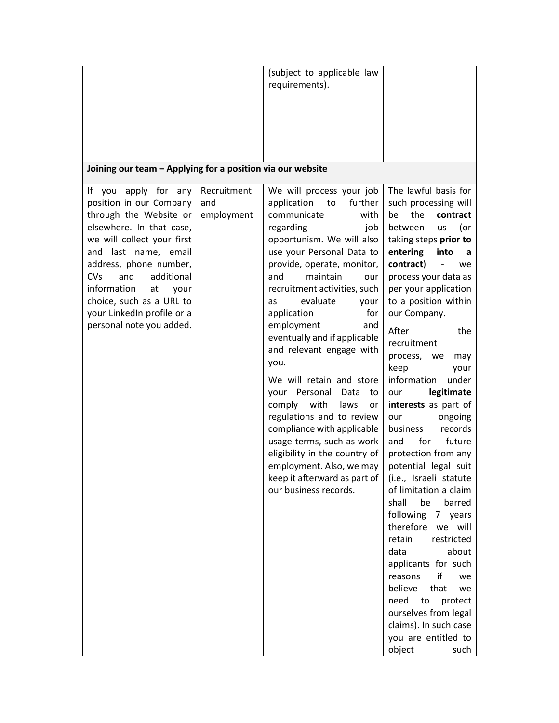|                                                            |             | (subject to applicable law                    |                        |  |  |
|------------------------------------------------------------|-------------|-----------------------------------------------|------------------------|--|--|
|                                                            |             | requirements).                                |                        |  |  |
|                                                            |             |                                               |                        |  |  |
|                                                            |             |                                               |                        |  |  |
|                                                            |             |                                               |                        |  |  |
|                                                            |             |                                               |                        |  |  |
|                                                            |             |                                               |                        |  |  |
|                                                            |             |                                               |                        |  |  |
| Joining our team - Applying for a position via our website |             |                                               |                        |  |  |
| If you<br>apply for any                                    | Recruitment | We will process your job                      | The lawful basis for   |  |  |
| position in our Company                                    | and         | application<br>further<br>to                  | such processing will   |  |  |
| through the Website or                                     | employment  | communicate<br>with                           | the<br>be<br>contract  |  |  |
| elsewhere. In that case,                                   |             | regarding<br>job                              | between<br>(or<br>us   |  |  |
| we will collect your first                                 |             | opportunism. We will also                     | taking steps prior to  |  |  |
| and last name, email                                       |             | use your Personal Data to                     | entering<br>into<br>a  |  |  |
| address, phone number,                                     |             |                                               | contract)              |  |  |
| CVs<br>additional<br>and                                   |             | provide, operate, monitor,<br>and<br>maintain | we                     |  |  |
|                                                            |             | our                                           | process your data as   |  |  |
| information<br>at<br>your                                  |             | recruitment activities, such                  | per your application   |  |  |
| choice, such as a URL to                                   |             | evaluate<br>as<br>your                        | to a position within   |  |  |
| your LinkedIn profile or a                                 |             | application<br>for                            | our Company.           |  |  |
| personal note you added.                                   |             | employment<br>and                             | After<br>the           |  |  |
|                                                            |             | eventually and if applicable                  | recruitment            |  |  |
|                                                            |             | and relevant engage with                      | process, we<br>may     |  |  |
|                                                            |             | you.                                          | keep<br>your           |  |  |
|                                                            |             | We will retain and store                      | under<br>information   |  |  |
|                                                            |             | your Personal<br>Data<br>to                   | legitimate<br>our      |  |  |
|                                                            |             | comply<br>with<br>laws<br>or                  | interests as part of   |  |  |
|                                                            |             | regulations and to review                     | our<br>ongoing         |  |  |
|                                                            |             | compliance with applicable                    | records<br>business    |  |  |
|                                                            |             | usage terms, such as work                     | for<br>future<br>and   |  |  |
|                                                            |             | eligibility in the country of                 | protection from any    |  |  |
|                                                            |             | employment. Also, we may                      | potential legal suit   |  |  |
|                                                            |             | keep it afterward as part of                  | (i.e., Israeli statute |  |  |
|                                                            |             | our business records.                         | of limitation a claim  |  |  |
|                                                            |             |                                               | barred<br>shall<br>be  |  |  |
|                                                            |             |                                               | following<br>7 years   |  |  |
|                                                            |             |                                               | therefore we will      |  |  |
|                                                            |             |                                               | retain<br>restricted   |  |  |
|                                                            |             |                                               | data<br>about          |  |  |
|                                                            |             |                                               | applicants for such    |  |  |
|                                                            |             |                                               | if<br>reasons<br>we    |  |  |
|                                                            |             |                                               | believe<br>that<br>we  |  |  |
|                                                            |             |                                               | need<br>to             |  |  |
|                                                            |             |                                               | protect                |  |  |
|                                                            |             |                                               | ourselves from legal   |  |  |
|                                                            |             |                                               | claims). In such case  |  |  |
|                                                            |             |                                               | you are entitled to    |  |  |
|                                                            |             |                                               | object<br>such         |  |  |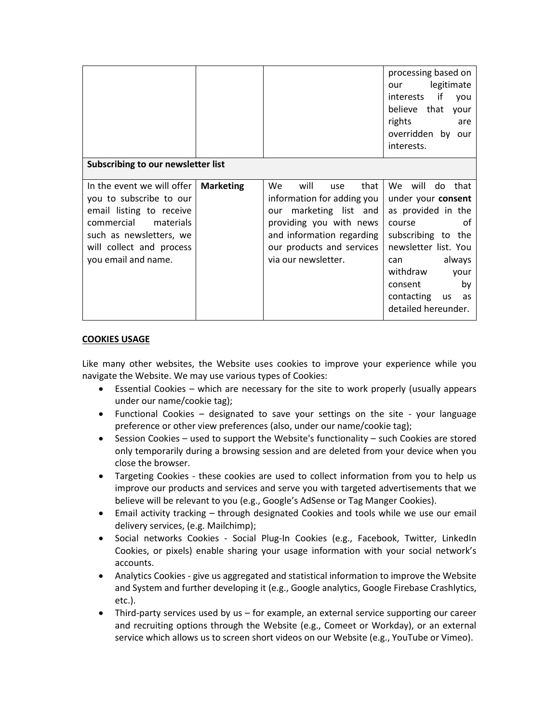|                                                                                                                                                                                         |                  |                                                                                                                                                                                                   | processing based on<br>legitimate<br>our<br>interests if<br>you<br>believe that your<br>rights<br>are<br>overridden by our<br>interests.                                                                                |  |
|-----------------------------------------------------------------------------------------------------------------------------------------------------------------------------------------|------------------|---------------------------------------------------------------------------------------------------------------------------------------------------------------------------------------------------|-------------------------------------------------------------------------------------------------------------------------------------------------------------------------------------------------------------------------|--|
| Subscribing to our newsletter list                                                                                                                                                      |                  |                                                                                                                                                                                                   |                                                                                                                                                                                                                         |  |
| In the event we will offer<br>you to subscribe to our<br>email listing to receive<br>commercial materials<br>such as newsletters, we<br>will collect and process<br>you email and name. | <b>Marketing</b> | that<br>We.<br>will<br>use<br>information for adding you<br>marketing list and<br>our<br>providing you with news<br>and information regarding<br>our products and services<br>via our newsletter. | We will do that<br>under your consent<br>as provided in the<br>0f<br>course<br>subscribing to the<br>newsletter list. You<br>can always<br>withdraw<br>your<br>by<br>consent<br>contacting us as<br>detailed hereunder. |  |

## **COOKIES USAGE**

Like many other websites, the Website uses cookies to improve your experience while you navigate the Website. We may use various types of Cookies:

- Essential Cookies which are necessary for the site to work properly (usually appears under our name/cookie tag);
- Functional Cookies designated to save your settings on the site your language preference or other view preferences (also, under our name/cookie tag);
- $\bullet$  Session Cookies used to support the Website's functionality such Cookies are stored only temporarily during a browsing session and are deleted from your device when you close the browser.
- Targeting Cookies these cookies are used to collect information from you to help us improve our products and services and serve you with targeted advertisements that we believe will be relevant to you (e.g., Google's AdSense or Tag Manger Cookies).
- Email activity tracking through designated Cookies and tools while we use our email delivery services, (e.g. Mailchimp);
- Social networks Cookies Social Plug-In Cookies (e.g., Facebook, Twitter, LinkedIn Cookies, or pixels) enable sharing your usage information with your social network's accounts.
- Analytics Cookies give us aggregated and statistical information to improve the Website and System and further developing it (e.g., Google analytics, Google Firebase Crashlytics, etc.).
- Third-party services used by us for example, an external service supporting our career and recruiting options through the Website (e.g., Comeet or Workday), or an external service which allows us to screen short videos on our Website (e.g., YouTube or Vimeo).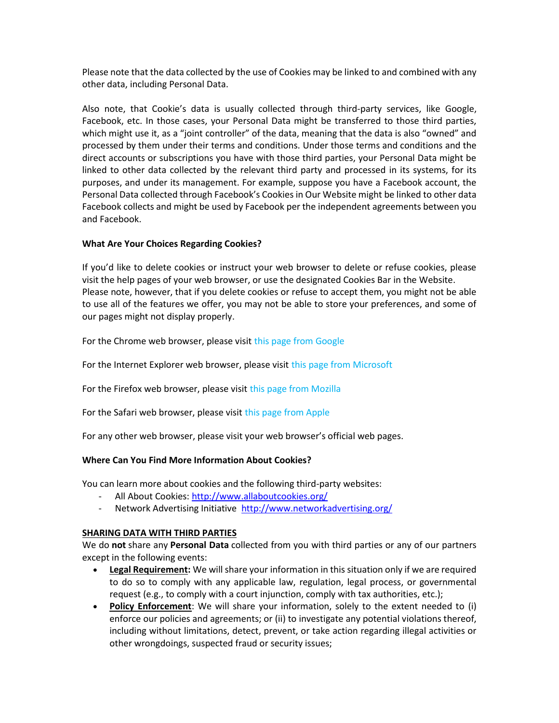Please note that the data collected by the use of Cookies may be linked to and combined with any other data, including Personal Data.

Also note, that Cookie's data is usually collected through third-party services, like Google, Facebook, etc. In those cases, your Personal Data might be transferred to those third parties, which might use it, as a "joint controller" of the data, meaning that the data is also "owned" and processed by them under their terms and conditions. Under those terms and conditions and the direct accounts or subscriptions you have with those third parties, your Personal Data might be linked to other data collected by the relevant third party and processed in its systems, for its purposes, and under its management. For example, suppose you have a Facebook account, the Personal Data collected through Facebook's Cookies in Our Website might be linked to other data Facebook collects and might be used by Facebook per the independent agreements between you and Facebook.

## **What Are Your Choices Regarding Cookies?**

If you'd like to delete cookies or instruct your web browser to delete or refuse cookies, please visit the help pages of your web browser, or use the designated Cookies Bar in the Website. Please note, however, that if you delete cookies or refuse to accept them, you might not be able to use all of the features we offer, you may not be able to store your preferences, and some of our pages might not display properly.

For the Chrome web browser, please visit [this page from Google](https://support.google.com/accounts/answer/32050)

For the Internet Explorer web browser, please visit [this page from Microsoft](http://support.microsoft.com/kb/278835)

For the Firefox web browser, please visit [this page from Mozilla](https://support.mozilla.org/en-US/kb/delete-cookies-remove-info-websites-stored)

For the Safari web browser, please visit [this page from Apple](https://support.apple.com/en-us/HT201265)

For any other web browser, please visit your web browser's official web pages.

## **Where Can You Find More Information About Cookies?**

You can learn more about cookies and the following third-party websites:

- All About Cookies:<http://www.allaboutcookies.org/>
- Network Advertising Initiative [http://www.networkadvertising.org](http://www.networkadvertising.org/)/

## **SHARING DATA WITH THIRD PARTIES**

We do **not** share any **Personal Data** collected from you with third parties or any of our partners except in the following events:

- **Legal Requirement:** We will share your information in this situation only if we are required to do so to comply with any applicable law, regulation, legal process, or governmental request (e.g., to comply with a court injunction, comply with tax authorities, etc.);
- **Policy Enforcement**: We will share your information, solely to the extent needed to (i) enforce our policies and agreements; or (ii) to investigate any potential violations thereof, including without limitations, detect, prevent, or take action regarding illegal activities or other wrongdoings, suspected fraud or security issues;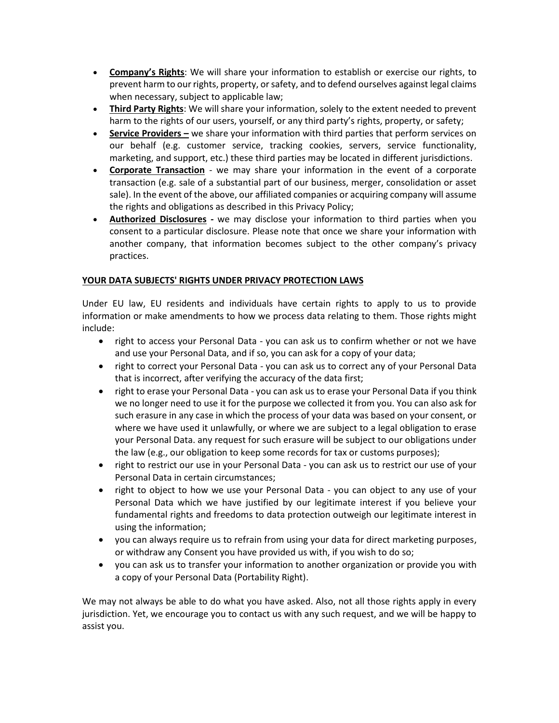- **Company's Rights**: We will share your information to establish or exercise our rights, to prevent harm to our rights, property, or safety, and to defend ourselves against legal claims when necessary, subject to applicable law;
- **Third Party Rights**: We will share your information, solely to the extent needed to prevent harm to the rights of our users, yourself, or any third party's rights, property, or safety;
- **Service Providers –** we share your information with third parties that perform services on our behalf (e.g. customer service, tracking cookies, servers, service functionality, marketing, and support, etc.) these third parties may be located in different jurisdictions.
- **Corporate Transaction** *-* we may share your information in the event of a corporate transaction (e.g. sale of a substantial part of our business, merger, consolidation or asset sale). In the event of the above, our affiliated companies or acquiring company will assume the rights and obligations as described in this Privacy Policy;
- **Authorized Disclosures** *-* we may disclose your information to third parties when you consent to a particular disclosure. Please note that once we share your information with another company, that information becomes subject to the other company's privacy practices.

# **YOUR DATA SUBJECTS' RIGHTS UNDER PRIVACY PROTECTION LAWS**

Under EU law, EU residents and individuals have certain rights to apply to us to provide information or make amendments to how we process data relating to them. Those rights might include:

- right to access your Personal Data you can ask us to confirm whether or not we have and use your Personal Data, and if so, you can ask for a copy of your data;
- right to correct your Personal Data you can ask us to correct any of your Personal Data that is incorrect, after verifying the accuracy of the data first;
- right to erase your Personal Data you can ask us to erase your Personal Data if you think we no longer need to use it for the purpose we collected it from you. You can also ask for such erasure in any case in which the process of your data was based on your consent, or where we have used it unlawfully, or where we are subject to a legal obligation to erase your Personal Data. any request for such erasure will be subject to our obligations under the law (e.g., our obligation to keep some records for tax or customs purposes);
- right to restrict our use in your Personal Data you can ask us to restrict our use of your Personal Data in certain circumstances;
- right to object to how we use your Personal Data you can object to any use of your Personal Data which we have justified by our legitimate interest if you believe your fundamental rights and freedoms to data protection outweigh our legitimate interest in using the information;
- you can always require us to refrain from using your data for direct marketing purposes, or withdraw any Consent you have provided us with, if you wish to do so;
- you can ask us to transfer your information to another organization or provide you with a copy of your Personal Data (Portability Right).

We may not always be able to do what you have asked. Also, not all those rights apply in every jurisdiction. Yet, we encourage you to contact us with any such request, and we will be happy to assist you.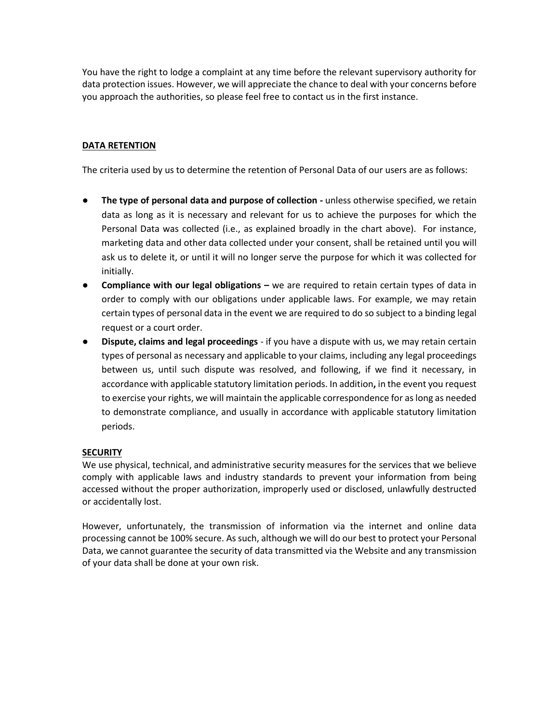You have the right to lodge a complaint at any time before the relevant supervisory authority for data protection issues. However, we will appreciate the chance to deal with your concerns before you approach the authorities, so please feel free to contact us in the first instance.

# **DATA RETENTION**

The criteria used by us to determine the retention of Personal Data of our users are as follows:

- **The type of personal data and purpose of collection -** unless otherwise specified, we retain data as long as it is necessary and relevant for us to achieve the purposes for which the Personal Data was collected (i.e., as explained broadly in the chart above). For instance, marketing data and other data collected under your consent, shall be retained until you will ask us to delete it, or until it will no longer serve the purpose for which it was collected for initially.
- **•** Compliance with our legal obligations we are required to retain certain types of data in order to comply with our obligations under applicable laws. For example, we may retain certain types of personal data in the event we are required to do so subject to a binding legal request or a court order.
- **Dispute, claims and legal proceedings** if you have a dispute with us, we may retain certain types of personal as necessary and applicable to your claims, including any legal proceedings between us, until such dispute was resolved, and following, if we find it necessary, in accordance with applicable statutory limitation periods. In addition**,** in the event you request to exercise your rights, we will maintain the applicable correspondence for as long as needed to demonstrate compliance, and usually in accordance with applicable statutory limitation periods.

## **SECURITY**

We use physical, technical, and administrative security measures for the services that we believe comply with applicable laws and industry standards to prevent your information from being accessed without the proper authorization, improperly used or disclosed, unlawfully destructed or accidentally lost.

However, unfortunately, the transmission of information via the internet and online data processing cannot be 100% secure. As such, although we will do our best to protect your Personal Data, we cannot guarantee the security of data transmitted via the Website and any transmission of your data shall be done at your own risk.